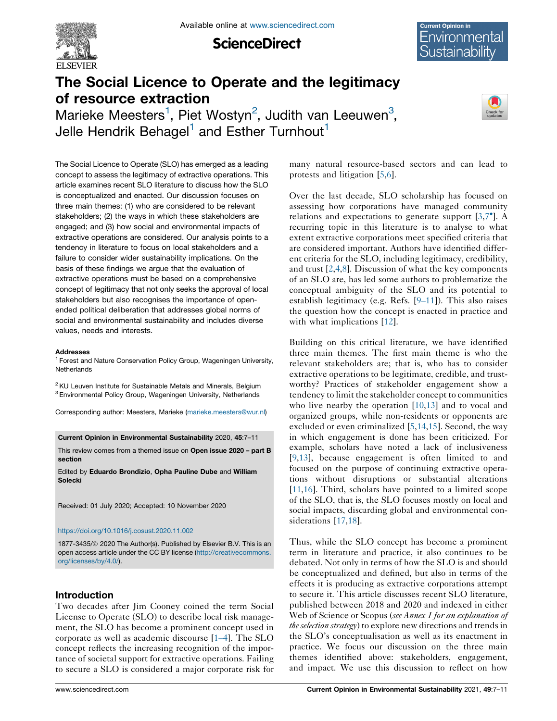

**ScienceDirect** 

# Environmental ustainability

## The Social Licence to Operate and the legitimacy of resource extraction

Marieke Meesters<sup>1</sup>, Piet Wostyn<sup>2</sup>, Judith van Leeuwen<sup>3</sup>, Jelle Hendrik Behagel<sup>1</sup> and Esther Turnhout<sup>1</sup>



The Social Licence to Operate (SLO) has emerged as a leading concept to assess the legitimacy of extractive operations. This article examines recent SLO literature to discuss how the SLO is conceptualized and enacted. Our discussion focuses on three main themes: (1) who are considered to be relevant stakeholders; (2) the ways in which these stakeholders are engaged; and (3) how social and environmental impacts of extractive operations are considered. Our analysis points to a tendency in literature to focus on local stakeholders and a failure to consider wider sustainability implications. On the basis of these findings we argue that the evaluation of extractive operations must be based on a comprehensive concept of legitimacy that not only seeks the approval of local stakeholders but also recognises the importance of openended political deliberation that addresses global norms of social and environmental sustainability and includes diverse values, needs and interests.

#### **Addresses**

<sup>1</sup> Forest and Nature Conservation Policy Group, Wageningen University, **Netherlands** 

<sup>2</sup> KU Leuven Institute for Sustainable Metals and Minerals, Belgium 3Environmental Policy Group, Wageningen University, Netherlands

Corresponding author: Meesters, Marieke ([marieke.meesters@wur.nl\)](mailto:marieke.meesters@wur.nl)

Current Opinion in Environmental Sustainability 2020, 45:7–11

This review comes from a themed issue on Open issue 2020 – part B section

Edited by Eduardo Brondizio, Opha Pauline Dube and William Solecki

Received: 01 July 2020; Accepted: 10 November 2020

#### <https://doi.org/10.1016/j.cosust.2020.11.002>

1877-3435/© 2020 The Author(s). Published by Elsevier B.V. This is an open access article under the CC BY license [\(http://creativecommons.](http://creativecommons.org/licenses/by/4.0/) [org/licenses/by/4.0/](http://creativecommons.org/licenses/by/4.0/)).

## Introduction

Two decades after Jim Cooney coined the term Social License to Operate (SLO) to describe local risk management, the SLO has become a prominent concept used in corporate as well as academic discourse [\[1–4](#page-2-0)]. The SLO concept reflects the increasing recognition of the importance of societal support for extractive operations. Failing to secure a SLO is considered a major corporate risk for many natural resource-based sectors and can lead to protests and litigation [[5,6](#page-3-0)].

Over the last decade, SLO scholarship has focused on assessing how corporations have managed community relations and expectations to generate support [[3,](#page-3-0)7 ]. [A](#page-3-0) recurring topic in this literature is to analyse to what extent extractive corporations meet specified criteria that are considered important. Authors have identified different criteria for the SLO, including legitimacy, credibility, and trust  $[2,4,8]$  $[2,4,8]$  $[2,4,8]$  $[2,4,8]$ . Discussion of what the key components of an SLO are, has led some authors to problematize the conceptual ambiguity of the SLO and its potential to establish legitimacy (e.g. Refs. [\[9–11](#page-3-0)]). This also raises the question how the concept is enacted in practice and with what implications [\[12](#page-3-0)].

Building on this critical literature, we have identified three main themes. The first main theme is who the relevant stakeholders are; that is, who has to consider extractive operations to be legitimate, credible, and trustworthy? Practices of stakeholder engagement show a tendency to limit the stakeholder concept to communities who live nearby the operation  $[10,13]$  $[10,13]$  $[10,13]$  and to vocal and organized groups, while non-residents or opponents are excluded or even criminalized [\[5](#page-3-0),[14,15](#page-3-0)]. Second, the way in which engagement is done has been criticized. For example, scholars have noted a lack of inclusiveness [[9](#page-3-0),[13\]](#page-3-0), because engagement is often limited to and focused on the purpose of continuing extractive operations without disruptions or substantial alterations [[11](#page-3-0),[16\]](#page-3-0). Third, scholars have pointed to a limited scope of the SLO, that is, the SLO focuses mostly on local and social impacts, discarding global and environmental considerations [\[17](#page-3-0),[18\]](#page-3-0).

Thus, while the SLO concept has become a prominent term in literature and practice, it also continues to be debated. Not only in terms of how the SLO is and should be conceptualized and defined, but also in terms of the effects it is producing as extractive corporations attempt to secure it. This article discusses recent SLO literature, published between 2018 and 2020 and indexed in either Web of Science or Scopus (see Annex 1 for an explanation of the selection strategy) to explore new directions and trends in the SLO's conceptualisation as well as its enactment in practice. We focus our discussion on the three main themes identified above: stakeholders, engagement, and impact. We use this discussion to reflect on how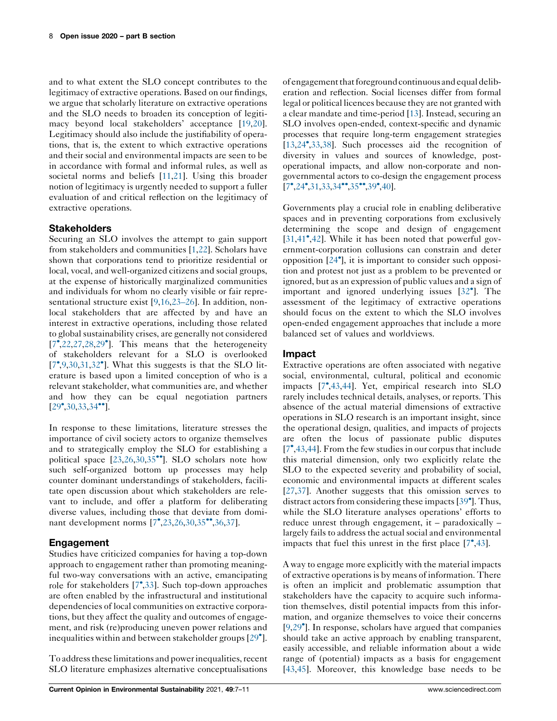and to what extent the SLO concept contributes to the legitimacy of extractive operations. Based on our findings, we argue that scholarly literature on extractive operations and the SLO needs to broaden its conception of legitimacy beyond local stakeholders' acceptance [[19,20](#page-3-0)]. Legitimacy should also include the justifiability of operations, that is, the extent to which extractive operations and their social and environmental impacts are seen to be in accordance with formal and informal rules, as well as societal norms and beliefs [\[11](#page-3-0),[21\]](#page-3-0). Using this broader notion of legitimacy is urgently needed to support a fuller evaluation of and critical reflection on the legitimacy of extractive operations.

## **Stakeholders**

Securing an SLO involves the attempt to gain support from stakeholders and communities [[1](#page-2-0)[,22](#page-3-0)]. Scholars have shown that corporations tend to prioritize residential or local, vocal, and well-organized citizens and social groups, at the expense of historically marginalized communities and individuals for whom no clearly visible or fair representational structure exist [\[9](#page-3-0),[16,23–26\]](#page-3-0). In addition, nonlocal stakeholders that are affected by and have an interest in extractive operations, including those related to global sustainability crises, are generally not considered [\[7](#page-3-0) ,[22,27](#page-3-0),[28,](#page-3-0)29 ]. This means that the [heterogeneity](#page-3-0) of stakeholders relevant for a SLO is overlooked  $[7^{\bullet}, 9, 30, 31, 32^{\bullet}]$  $[7^{\bullet}, 9, 30, 31, 32^{\bullet}]$  $[7^{\bullet}, 9, 30, 31, 32^{\bullet}]$  $[7^{\bullet}, 9, 30, 31, 32^{\bullet}]$ . What this [suggests](#page-3-0) is that the SLO literature is based upon a limited conception of who is a relevant stakeholder, what communities are, and whether and how they can be equal negotiation partners  $[29^{\circ},30,33,34^{\circ\bullet}]$  $[29^{\circ},30,33,34^{\circ\bullet}]$  $[29^{\circ},30,33,34^{\circ\bullet}]$  $[29^{\circ},30,33,34^{\circ\bullet}]$  $[29^{\circ},30,33,34^{\circ\bullet}]$  $[29^{\circ},30,33,34^{\circ\bullet}]$ .

In response to these limitations, literature stresses the importance of civil society actors to organize themselves and to strategically employ the SLO for establishing a political space  $[23,26,30,35$  $[23,26,30,35$  $[23,26,30,35$  $[23,26,30,35$  $[23,26,30,35$ <sup>\*\*</sup>]. SLO scholars note how such self-organized bottom up processes may help counter dominant understandings of stakeholders, facilitate open discussion about which stakeholders are relevant to include, and offer a platform for deliberating diverse values, including those that deviate from domi-nant development norms [[7](#page-3-0)<sup>•</sup>[,23](#page-3-0),[26,30](#page-3-0),[35](#page-3-0)<sup>••</sup>[,36](#page-3-0),[37\]](#page-3-0).

## Engagement

Studies have criticized companies for having a top-down approach to engagement rather than promoting meaningful two-way conversations with an active, emancipating role for stakeholders [[7](#page-3-0) [,33](#page-3-0)]. Such top-down approaches are often enabled by the infrastructural and institutional dependencies of local communities on extractive corporations, but they affect the quality and outcomes of engagement, and risk (re)producing uneven power relations and inequalities within and between stakeholder groups [[29](#page-3-0) ].

To address these limitations and power inequalities, recent SLO literature emphasizes alternative conceptualisations

of engagement that foreground continuous and equal deliberation and reflection. Social licenses differ from formal legal or political licences because they are not granted with a clear mandate and time-period [[13](#page-3-0)]. Instead, securing an SLO involves open-ended, context-specific and dynamic processes that require long-term engagement strategies [\[13](#page-3-0),[24](#page-3-0) [,33](#page-3-0),[38](#page-4-0)]. Such processes aid the recognition of diversity in values and sources of knowledge, postoperational impacts, and allow non-corporate and nongovernmental actors to co-design the engagement process  $[7^{\bullet}, 24^{\bullet}, 31, 33, 34^{\bullet \bullet}, 35^{\bullet \bullet}, 39^{\bullet}, 40].$  $[7^{\bullet}, 24^{\bullet}, 31, 33, 34^{\bullet \bullet}, 35^{\bullet \bullet}, 39^{\bullet}, 40].$  $[7^{\bullet}, 24^{\bullet}, 31, 33, 34^{\bullet \bullet}, 35^{\bullet \bullet}, 39^{\bullet}, 40].$  $[7^{\bullet}, 24^{\bullet}, 31, 33, 34^{\bullet \bullet}, 35^{\bullet \bullet}, 39^{\bullet}, 40].$ 

Governments play a crucial role in enabling deliberative spaces and in preventing corporations from exclusively determining the scope and design of engagement [\[31](#page-3-0),[41](#page-4-0)<sup>•</sup>[,42](#page-4-0)]. While it has been noted that powerful government-corporation collusions can constrain and deter opposition [[24](#page-3-0) ], it is important to consider such opposition and protest not just as a problem to be prevented or ignored, but as an expression of public values and a sign of important and ignored underlying issues [32 ]. [The](#page-3-0) assessment of the legitimacy of extractive operations should focus on the extent to which the SLO involves open-ended engagement approaches that include a more balanced set of values and worldviews.

## Impact

Extractive operations are often associated with negative social, environmental, cultural, political and economic impacts [\[7](#page-3-0) [,43](#page-4-0),[44\]](#page-4-0). Yet, empirical research into SLO rarely includes technical details, analyses, or reports. This absence of the actual material dimensions of extractive operations in SLO research is an important insight, since the operational design, qualities, and impacts of projects are often the locus of passionate public disputes [\[7](#page-3-0) ,[43,44](#page-4-0)]. From the few studies in our corpus that include this material dimension, only two explicitly relate the SLO to the expected severity and probability of social, economic and environmental impacts at different scales [\[27](#page-3-0),[37\]](#page-3-0). Another suggests that this omission serves to distract actors from considering these impacts [\[39](#page-4-0)<sup>°</sup>]. Thus, while the SLO literature analyses operations' efforts to reduce unrest through engagement, it – paradoxically – largely fails to address the actual social and environmental impacts that fuel this unrest in the first place  $[7^{\bullet},43]$  $[7^{\bullet},43]$  $[7^{\bullet},43]$  $[7^{\bullet},43]$ .

A way to engage more explicitly with the material impacts of extractive operations is by means of information. There is often an implicit and problematic assumption that stakeholders have the capacity to acquire such information themselves, distil potential impacts from this information, and organize themselves to voice their concerns [\[9](#page-3-0),[29](#page-3-0) ]. In response, scholars have argued that companies should take an active approach by enabling transparent, easily accessible, and reliable information about a wide range of (potential) impacts as a basis for engagement [\[43](#page-4-0),[45\]](#page-4-0). Moreover, this knowledge base needs to be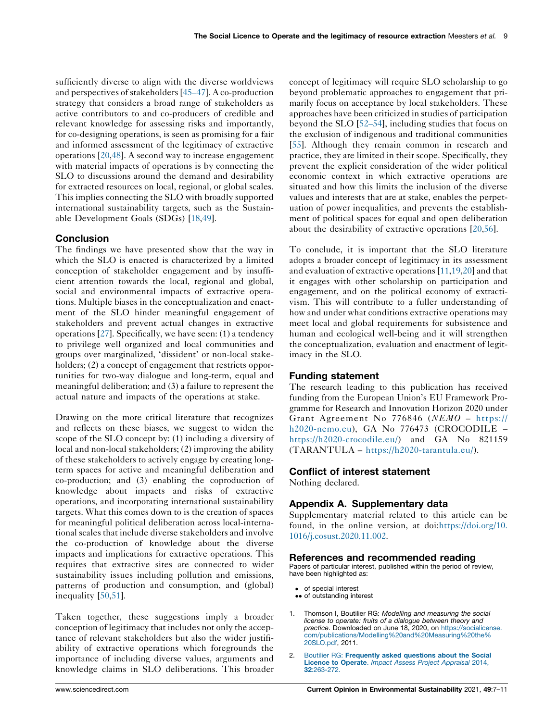<span id="page-2-0"></span>sufficiently diverse to align with the diverse worldviews and perspectives of stakeholders  $[45-47]$ . A co-production strategy that considers a broad range of stakeholders as active contributors to and co-producers of credible and relevant knowledge for assessing risks and importantly, for co-designing operations, is seen as promising for a fair and informed assessment of the legitimacy of extractive operations [[20,](#page-3-0)[48](#page-4-0)]. A second way to increase engagement with material impacts of operations is by connecting the SLO to discussions around the demand and desirability for extracted resources on local, regional, or global scales. This implies connecting the SLO with broadly supported international sustainability targets, such as the Sustainable Development Goals (SDGs) [\[18](#page-3-0),[49\]](#page-4-0).

#### **Conclusion**

The findings we have presented show that the way in which the SLO is enacted is characterized by a limited conception of stakeholder engagement and by insufficient attention towards the local, regional and global, social and environmental impacts of extractive operations. Multiple biases in the conceptualization and enactment of the SLO hinder meaningful engagement of stakeholders and prevent actual changes in extractive operations [\[27](#page-3-0)]. Specifically, we have seen: (1) a tendency to privilege well organized and local communities and groups over marginalized, 'dissident' or non-local stakeholders; (2) a concept of engagement that restricts opportunities for two-way dialogue and long-term, equal and meaningful deliberation; and (3) a failure to represent the actual nature and impacts of the operations at stake.

Drawing on the more critical literature that recognizes and reflects on these biases, we suggest to widen the scope of the SLO concept by: (1) including a diversity of local and non-local stakeholders; (2) improving the ability of these stakeholders to actively engage by creating longterm spaces for active and meaningful deliberation and co-production; and (3) enabling the coproduction of knowledge about impacts and risks of extractive operations, and incorporating international sustainability targets. What this comes down to is the creation of spaces for meaningful political deliberation across local-international scales that include diverse stakeholders and involve the co-production of knowledge about the diverse impacts and implications for extractive operations. This requires that extractive sites are connected to wider sustainability issues including pollution and emissions, patterns of production and consumption, and (global) inequality [\[50](#page-4-0),[51\]](#page-4-0).

Taken together, these suggestions imply a broader conception of legitimacy that includes not only the acceptance of relevant stakeholders but also the wider justifiability of extractive operations which foregrounds the importance of including diverse values, arguments and knowledge claims in SLO deliberations. This broader concept of legitimacy will require SLO scholarship to go beyond problematic approaches to engagement that primarily focus on acceptance by local stakeholders. These approaches have been criticized in studies of participation beyond the SLO [\[52–54](#page-4-0)], including studies that focus on the exclusion of indigenous and traditional communities [[55](#page-4-0)]. Although they remain common in research and practice, they are limited in their scope. Specifically, they prevent the explicit consideration of the wider political economic context in which extractive operations are situated and how this limits the inclusion of the diverse values and interests that are at stake, enables the perpetuation of power inequalities, and prevents the establishment of political spaces for equal and open deliberation about the desirability of extractive operations [\[20](#page-3-0),[56\]](#page-4-0).

To conclude, it is important that the SLO literature adopts a broader concept of legitimacy in its assessment and evaluation of extractive operations[\[11](#page-3-0),[19,20](#page-3-0)] and that it engages with other scholarship on participation and engagement, and on the political economy of extractivism. This will contribute to a fuller understanding of how and under what conditions extractive operations may meet local and global requirements for subsistence and human and ecological well-being and it will strengthen the conceptualization, evaluation and enactment of legitimacy in the SLO.

#### Funding statement

The research leading to this publication has received funding from the European Union's EU Framework Programme for Research and Innovation Horizon 2020 under Grant Agreement No <sup>776846</sup> (NEMO – [https://](https://h2020-nemo.eu) [h2020-nemo.eu](https://h2020-nemo.eu)), GA No 776473 (CROCODILE – [https://h2020-crocodile.eu/\)](https://h2020-crocodile.eu/) and GA No 821159 (TARANTULA – [https://h2020-tarantula.eu/\)](https://h2020-tarantula.eu/).

#### Conflict of interest statement

Nothing declared.

## Appendix A. Supplementary data

Supplementary material related to this article can be found, in the online version, at doi:[https://doi.org/10.](https://doi.org/10.1016/j.cosust.2020.11.002) [1016/j.cosust.2020.11.002.](https://doi.org/10.1016/j.cosust.2020.11.002)

#### References and recommended reading

Papers of particular interest, published within the period of review, have been highlighted as:

- of special interest
- •• of outstanding interest
- Thomson I, Boutilier RG: Modelling and measuring the social license to operate: fruits of a dialogue between theory and practice. Downloaded on June 18, 2020, on [https://socialicense.](https://socialicense.com/publications/Modelling and Measuring the SLO.pdf) [com/publications/Modelling%20and%20Measuring%20the%](https://socialicense.com/publications/Modelling and Measuring the SLO.pdf) [20SLO.pdf,](https://socialicense.com/publications/Modelling and Measuring the SLO.pdf) 2011.
- 2. Boutilier RG: [Frequently](http://refhub.elsevier.com/S1877-3435(20)30112-3/sbref0010) asked questions about the Social Licence to Operate. Impact Assess Project [Appraisal](http://refhub.elsevier.com/S1877-3435(20)30112-3/sbref0010) 2014, 32[:263-272.](http://refhub.elsevier.com/S1877-3435(20)30112-3/sbref0010)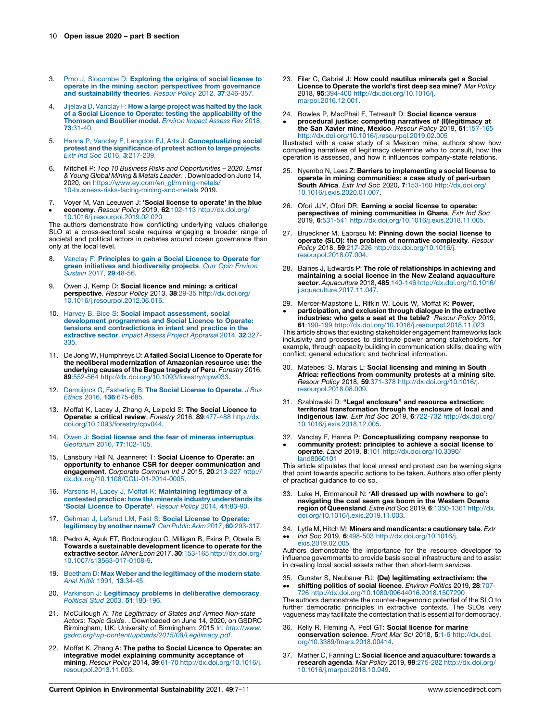- <span id="page-3-0"></span>3. Prno J, [Slocombe](http://refhub.elsevier.com/S1877-3435(20)30112-3/sbref0015) D: Exploring the origins of social license to operate in the mining sector: [perspectives](http://refhub.elsevier.com/S1877-3435(20)30112-3/sbref0015) from governance and [sustainability](http://refhub.elsevier.com/S1877-3435(20)30112-3/sbref0015) theories. Resour Policy 2012, 37:346-357.
- 4. Jijelava D, [Vanclay](http://refhub.elsevier.com/S1877-3435(20)30112-3/sbref0020) F: How a large project was halted by the lack of a Social Licence to Operate: testing the [applicability](http://refhub.elsevier.com/S1877-3435(20)30112-3/sbref0020) of the<br>[Thomson](http://refhub.elsevier.com/S1877-3435(20)30112-3/sbref0020) and Boutilier model. *Environ Impact Assess Rev* 2018, 73[:31-40.](http://refhub.elsevier.com/S1877-3435(20)30112-3/sbref0020)
- Hanna P, Vanclay F, Langdon EJ, Arts J: [Conceptualizing](http://refhub.elsevier.com/S1877-3435(20)30112-3/sbref0025) social protest and the [significance](http://refhub.elsevier.com/S1877-3435(20)30112-3/sbref0025) of protest action to large projects. Extr Ind Soc 2016, 3[:217-239.](http://refhub.elsevier.com/S1877-3435(20)30112-3/sbref0025)
- 6. Mitchell P: Top 10 Business Risks and Opportunities 2020. Ernst & Young Global Mining & Metals Leader. . Downloaded on June 14, 2020, on [https://www.ey.com/en\\_gl/mining-metals/](https://www.ey.com/en_gl/mining-metals/10-business-risks-facing-mining-and-metals) [10-business-risks-facing-mining-and-metals](https://www.ey.com/en_gl/mining-metals/10-business-risks-facing-mining-and-metals) 2019.
- 7.  $\bullet$ Voyer M, Van Leeuwen J: 'Social license to operate' in the blue economy. Resour Policy 2019, 62:102-113 [http://dx.doi.org/](http://dx.doi.org/10.1016/j.resourpol.2019.02.020)

[10.1016/j.resourpol.2019.02.020](http://dx.doi.org/10.1016/j.resourpol.2019.02.020) The authors demonstrate how conflicting underlying values challenge SLO at a cross-sectoral scale requires engaging a broader range of societal and political actors in debates around ocean governance than only at the local level.

- Vanclay F: [Principles](http://refhub.elsevier.com/S1877-3435(20)30112-3/sbref0040) to gain a Social Licence to Operate for **green initiatives and [biodiversity](http://refhub.elsevier.com/S1877-3435(20)30112-3/sbref0040) projects**. Curr Opin Environ<br>[Sustain](http://refhub.elsevier.com/S1877-3435(20)30112-3/sbref0040) 2017, **29**:48-56.
- 9. Owen J, Kemp D: Social licence and mining: a critical perspective. Resour Policy 2013, 38:29-35 [http://dx.doi.org/](http://dx.doi.org/10.1016/j.resourpol.2012.06.016) [10.1016/j.resourpol.2012.06.016](http://dx.doi.org/10.1016/j.resourpol.2012.06.016).
- 10. Harvey B, Bice S: Social impact [assessment,](http://refhub.elsevier.com/S1877-3435(20)30112-3/sbref0050) social [development](http://refhub.elsevier.com/S1877-3435(20)30112-3/sbref0050) programmes and Social Licence to Operate: tensions and [contradictions](http://refhub.elsevier.com/S1877-3435(20)30112-3/sbref0050) in intent and practice in the [extractive](http://refhub.elsevier.com/S1877-3435(20)30112-3/sbref0050) sector. Impact Assess Project Appraisal 2014, 32:327- [335.](http://refhub.elsevier.com/S1877-3435(20)30112-3/sbref0050)
- 11. De Jong W, Humphreys D: A failed Social Licence to Operate for the neoliberal modernization of Amazonian resource use: the underlying causes of the Bagua tragedy of Peru. Forestry 2016, 89:552-564 <http://dx.doi.org/10.1093/forestry/cpw033>.
- 12. [Demuijnck](http://refhub.elsevier.com/S1877-3435(20)30112-3/sbref0060) G, Fasterling B: The Social License to Operate. J Bus Ethics 2016, 136[:675-685.](http://refhub.elsevier.com/S1877-3435(20)30112-3/sbref0060)
- 13. Moffat K, Lacey J, Zhang A, Leipold S: The Social Licence to Operate: a critical review. Forestry 2016, 89:477-488 [http://dx.](http://dx.doi.org/10.1093/forestry/cpv044) [doi.org/10.1093/forestry/cpv044](http://dx.doi.org/10.1093/forestry/cpv044).
- 14. Owen J: Social license and the fear of mineras [interruptus](http://refhub.elsevier.com/S1877-3435(20)30112-3/sbref0070). [Geoforum](http://refhub.elsevier.com/S1877-3435(20)30112-3/sbref0070) 2016, 77:102-105.
- 15. Lansbury Hall N, Jeanneret T: Social Licence to Operate: an opportunity to enhance CSR for deeper communication and engagement. Corporate Commun Int J 2015, 20:213-227 [http://](http://dx.doi.org/10.1108/CCIJ-01-2014-0005) [dx.doi.org/10.1108/CCIJ-01-2014-0005.](http://dx.doi.org/10.1108/CCIJ-01-2014-0005)
- 16. Parsons R, Lacey J, Moffat K: [Maintaining](http://refhub.elsevier.com/S1877-3435(20)30112-3/sbref0080) legitimacy of a contested practice: how the minerals industry [understands](http://refhub.elsevier.com/S1877-3435(20)30112-3/sbref0080) its 'Social Licence to [Operate'](http://refhub.elsevier.com/S1877-3435(20)30112-3/sbref0080). Resour Policy 2014, 41:83-90.
- 17. Gehman J, Lefsrud LM, Fast S: Social License to [Operate:](http://refhub.elsevier.com/S1877-3435(20)30112-3/sbref0085) [legitimacy](http://refhub.elsevier.com/S1877-3435(20)30112-3/sbref0085) by another name? Can Public Adm 2017, 60:293-317.
- 18. Pedro A, Ayuk ET, Bodouroglou C, Milligan B, Ekins P, Oberle B: Towards a sustainable development licence to operate for the extractive sector. Miner Econ 2017, 30:153-165 [http://dx.doi.org/](http://dx.doi.org/10.1007/s13563-017-0108-9) [10.1007/s13563-017-0108-9.](http://dx.doi.org/10.1007/s13563-017-0108-9)
- 19. Beetham D: Max Weber and the [legitimacy](http://refhub.elsevier.com/S1877-3435(20)30112-3/sbref0095) of the modern state. Anal Kritik 1991, 13[:34-45.](http://refhub.elsevier.com/S1877-3435(20)30112-3/sbref0095)
- 20. Parkinson J: Legitimacy problems in [deliberative](http://refhub.elsevier.com/S1877-3435(20)30112-3/sbref0100) democracy. Political Stud 2003, 51[:180-196.](http://refhub.elsevier.com/S1877-3435(20)30112-3/sbref0100)
- 21. McCullough A: The Legitimacy of States and Armed Non-state Actors: Topic Guide. . Downloaded on June 14, 2020, on GSDRC Birmingham, UK: University of Birmingham; 2015 In: [http://www.](http://www.gsdrc.org/wp-content/uploads/2015/08/Legitimacy.pdf) [gsdrc.org/wp-content/uploads/2015/08/Legitimacy.pdf](http://www.gsdrc.org/wp-content/uploads/2015/08/Legitimacy.pdf).
- 22. Moffat K, Zhang A: The paths to Social Licence to Operate: an integrative model explaining community acceptance of mining. Resour Policy 2014, 39:61-70 [http://dx.doi.org/10.1016/j.](http://dx.doi.org/10.1016/j.resourpol.2013.11.003) [resourpol.2013.11.003](http://dx.doi.org/10.1016/j.resourpol.2013.11.003).
- 23. Filer C, Gabriel J: How could nautilus minerals get a Social Licence to Operate the world's first deep sea mine? Mar Policy 2018, 95:394-400 [http://dx.doi.org/10.1016/j.](http://dx.doi.org/10.1016/j.marpol.2016.12.001) [marpol.2016.12.001](http://dx.doi.org/10.1016/j.marpol.2016.12.001).
- 24. Bowles P, MacPhail F, Tetreault D: Social licence versus
- $\cdot$ procedural justice: competing narratives of (Il)legitimacy at the San Xavier mine, Mexico. Resour Policy 2019, 61:157-165 <http://dx.doi.org/10.1016/j.resourpol.2019.02.005>

Illustrated with a case study of a Mexican mine, authors show how competing narratives of legitimacy determine who to consult, how the operation is assessed, and how it influences company-state relations.

- 25. Nyembo N, Lees Z: Barriers to implementing a social license to operate in mining communities: a case study of peri-urban South Africa. Extr Ind Soc 2020, 7:153-160 [http://dx.doi.org/](http://dx.doi.org/10.1016/j.exis.2020.01.007) [10.1016/j.exis.2020.01.007](http://dx.doi.org/10.1016/j.exis.2020.01.007).
- 26. Ofori JJY, Ofori DR: Earning a social license to operate: perspectives of mining communities in Ghana. Extr Ind Soc 2019, 6:531-541 [http://dx.doi.org/10.1016/j.exis.2018.11.005.](http://dx.doi.org/10.1016/j.exis.2018.11.005)
- 27. Brueckner M, Eabrasu M: Pinning down the social license to operate (SLO): the problem of normative complexity. Resour Policy 2018, 59:217-226 [http://dx.doi.org/10.1016/j.](http://dx.doi.org/10.1016/j.resourpol.2018.07.004) [resourpol.2018.07.004.](http://dx.doi.org/10.1016/j.resourpol.2018.07.004)
- 28. Baines J, Edwards P: The role of relationships in achieving and maintaining a social licence in the New Zealand aquaculture sector. Aquaculture 2018, 485:140-146 [http://dx.doi.org/10.1016/](http://dx.doi.org/10.1016/j.aquaculture.2017.11.047) [j.aquaculture.2017.11.047](http://dx.doi.org/10.1016/j.aquaculture.2017.11.047).
- 29. Mercer-Mapstone L, Rifkin W, Louis W, Moffat K: Power,  $\cdot$ participation, and exclusion through dialogue in the extractive industries: who gets a seat at the table? Resour Policy 2019, 61:190-199 <http://dx.doi.org/10.1016/j.resourpol.2018.11.023>

This article shows that existing stakeholder engagement frameworks lack inclusivity and processes to distribute power among stakeholders, for example, through capacity building in communication skills; dealing with conflict; general education; and technical information.

- 30. Matebesi S, Marais L: Social licensing and mining in South **Africa: reflections from community protests at a mining site**.<br>*Resour Policy* 2018, **59**:371-378 [http://dx.doi.org/10.1016/j.](http://dx.doi.org/10.1016/j.resourpol.2018.08.009) [resourpol.2018.08.009.](http://dx.doi.org/10.1016/j.resourpol.2018.08.009)
- 31. Szablowski D: "Legal enclosure" and resource extraction: territorial transformation through the enclosure of local and indigenous law. Extr Ind Soc 2019, 6:722-732 [http://dx.doi.org/](http://dx.doi.org/10.1016/j.exis.2018.12.005) [10.1016/j.exis.2018.12.005](http://dx.doi.org/10.1016/j.exis.2018.12.005).
- 32. Vanclay F, Hanna P: Conceptualizing company response to  $\cdot$ community protest: principles to achieve a social license to operate. Land 2019, 8:101 [http://dx.doi.org/10.3390/](http://dx.doi.org/10.3390/land8060101) [land8060101](http://dx.doi.org/10.3390/land8060101)

This article stipulates that local unrest and protest can be warning signs that point towards specific actions to be taken. Authors also offer plenty of practical guidance to do so.

- 33. Luke H, Emmanouil N: 'All dressed up with nowhere to go': navigating the coal seam gas boom in the Western Downs region of Queensland. Extre Ind Soc 2019, 6:1350-1361 [http://dx.](http://dx.doi.org/10.1016/j.exis.2019.11.003) [doi.org/10.1016/j.exis.2019.11.003](http://dx.doi.org/10.1016/j.exis.2019.11.003).
- 34. Lytle M, Hitch M: Miners and mendicants: a cautionary tale. Extr
- Ind Soc 2019, 6:498-503 [http://dx.doi.org/10.1016/j.](http://dx.doi.org/10.1016/j.exis.2019.02.005) [exis.2019.02.005](http://dx.doi.org/10.1016/j.exis.2019.02.005)

Authors demonstrate the importance for the resource developer to influence governments to provide basis social infrastructure and to assist in creating local social assets rather than short-term services.

35.  $\ddot{\phantom{0}}$ Gunster S, Neubauer RJ: (De) legitimating extractivism: the<br>shifting politics of social licence. Environ Politics 2019, 28:707-726 <http://dx.doi.org/10.1080/09644016.2018.1507290>

The authors demonstrate the counter-hegemonic potential of the SLO to further democratic principles in extractive contexts. The SLOs very vagueness may facilitate the contestation that is essential for democracy.

- 36. Kelly R, Fleming A, Pecl GT: Social licence for marine conservation science. Front Mar Sci 2018, 5:1-6 [http://dx.doi.](http://dx.doi.org/10.3389/fmars.2018.00414) [org/10.3389/fmars.2018.00414.](http://dx.doi.org/10.3389/fmars.2018.00414)
- 37. Mather C, Fanning L: Social licence and aquaculture: towards a research agenda. Mar Policy 2019, 99:275-282 [http://dx.doi.org/](http://dx.doi.org/10.1016/j.marpol.2018.10.049) [10.1016/j.marpol.2018.10.049](http://dx.doi.org/10.1016/j.marpol.2018.10.049).